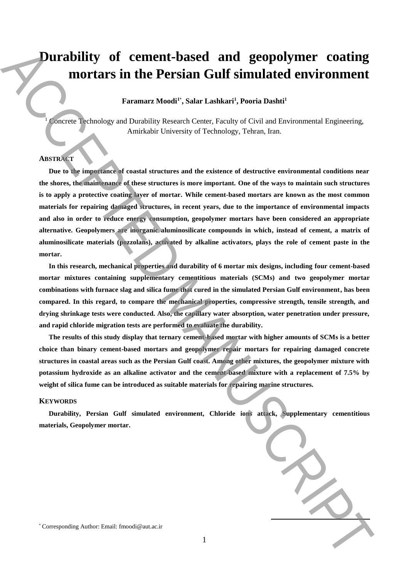# **Durability of cement-based and geopolymer coating mortars in the Persian Gulf simulated environment**

## **Faramarz Moodi<sup>1</sup>**\* **, Salar Lashkari<sup>1</sup> , Pooria Dashti<sup>1</sup>**

 $1$  Concrete Technology and Durability Research Center, Faculty of Civil and Environmental Engineering, Amirkabir University of Technology, Tehran, Iran.

## **ABSTRACT**

**Due to the importance of coastal structures and the existence of destructive environmental conditions near the shores, the maintenance of these structures is more important. One of the ways to maintain such structures is to apply a protective coating layer of mortar. While cement-based mortars are known as the most common materials for repairing damaged structures, in recent years, due to the importance of environmental impacts and also in order to reduce energy consumption, geopolymer mortars have been considered an appropriate alternative. Geopolymers are inorganic aluminosilicate compounds in which, instead of cement, a matrix of aluminosilicate materials (pozzolans), activated by alkaline activators, plays the role of cement paste in the mortar. Durability of cement-based and geopolymer coating<br>mortars in the Persian Gulf simulated environment<br>transmitted the corresponding and particles beamed Constant Provide detective interactions and<br>** $\frac{1}{2}$  **Authors: Email:** 

**In this research, mechanical properties and durability of 6 mortar mix designs, including four cement-based mortar mixtures containing supplementary cementitious materials (SCMs) and two geopolymer mortar combinations with furnace slag and silica fume that cured in the simulated Persian Gulf environment, has been compared. In this regard, to compare the mechanical properties, compressive strength, tensile strength, and drying shrinkage tests were conducted. Also, the capillary water absorption, water penetration under pressure, and rapid chloride migration tests are performed to evaluate the durability.**

**The results of this study display that ternary cement-based mortar with higher amounts of SCMs is a better choice than binary cement-based mortars and geopolymer repair mortars for repairing damaged concrete structures in coastal areas such as the Persian Gulf coast. Among other mixtures, the geopolymer mixture with potassium hydroxide as an alkaline activator and the cement-based mixture with a replacement of 7.5% by weight of silica fume can be introduced as suitable materials for repairing marine structures.**

#### **KEYWORDS**

**Durability, Persian Gulf simulated environment, Chloride ions attack, Supplementary cementitious materials, Geopolymer mortar.**

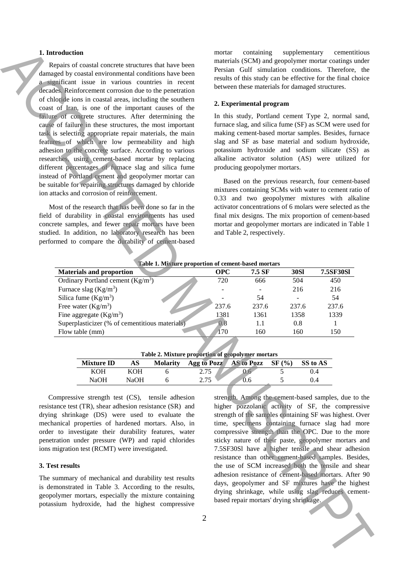#### **1. Introduction**

#### **2. Experimental program**

| 1. Introduction<br>Repairs of coastal concrete structures that have been<br>damaged by coastal environmental conditions have been<br>a significant issue in various countries in recent<br>decades. Reinforcement corrosion due to the penetration<br>of chloride ions in coastal areas, including the southern<br>coast of Iran, is one of the important causes of the<br>failure of concrete structures. After determining the<br>cause of failure in these structures, the most important<br>task is selecting appropriate repair materials, the main<br>features of which are low permeability and high<br>adhesion to the concrete surface. According to various<br>researches, using cement-based mortar by replacing<br>different percentages of furnace slag and silica fume<br>instead of Portland cement and geopolymer mortar can<br>be suitable for repairing structures damaged by chloride<br>ion attacks and corrosion of reinforcement.<br>Most of the research that has been done so far in the<br>field of durability in coastal environments has used<br>concrete samples, and fewer repair mortars have been<br>studied. In addition, no laboratory research has been<br>performed to compare the durability of cement-based |                                                  |                           |        |                | containing<br>supplementary<br>cementitious<br>mortar<br>materials (SCM) and geopolymer mortar coatings under<br>Persian Gulf simulation conditions. Therefore, the<br>results of this study can be effective for the final choice<br>between these materials for damaged structures.<br>2. Experimental program<br>In this study, Portland cement Type 2, normal sand,<br>furnace slag, and silica fume (SF) as SCM were used for<br>making cement-based mortar samples. Besides, furnace<br>slag and SF as base material and sodium hydroxide,<br>potassium hydroxide and sodium silicate (SS) as<br>alkaline activator solution (AS) were utilized for<br>producing geopolymer mortars.<br>Based on the previous research, four cement-based<br>mixtures containing SCMs with water to cement ratio of<br>0.33 and two geopolymer mixtures with alkaline<br>activator concentrations of 6 molars were selected as the<br>final mix designs. The mix proportion of cement-based<br>mortar and geopolymer mortars are indicated in Table 1<br>and Table 2, respectively. |                                                                                                                                                                                                             |             |                                                                                                        |  |  |  |
|--------------------------------------------------------------------------------------------------------------------------------------------------------------------------------------------------------------------------------------------------------------------------------------------------------------------------------------------------------------------------------------------------------------------------------------------------------------------------------------------------------------------------------------------------------------------------------------------------------------------------------------------------------------------------------------------------------------------------------------------------------------------------------------------------------------------------------------------------------------------------------------------------------------------------------------------------------------------------------------------------------------------------------------------------------------------------------------------------------------------------------------------------------------------------------------------------------------------------------------------------|--------------------------------------------------|---------------------------|--------|----------------|---------------------------------------------------------------------------------------------------------------------------------------------------------------------------------------------------------------------------------------------------------------------------------------------------------------------------------------------------------------------------------------------------------------------------------------------------------------------------------------------------------------------------------------------------------------------------------------------------------------------------------------------------------------------------------------------------------------------------------------------------------------------------------------------------------------------------------------------------------------------------------------------------------------------------------------------------------------------------------------------------------------------------------------------------------------------------|-------------------------------------------------------------------------------------------------------------------------------------------------------------------------------------------------------------|-------------|--------------------------------------------------------------------------------------------------------|--|--|--|
|                                                                                                                                                                                                                                                                                                                                                                                                                                                                                                                                                                                                                                                                                                                                                                                                                                                                                                                                                                                                                                                                                                                                                                                                                                                  |                                                  |                           |        |                |                                                                                                                                                                                                                                                                                                                                                                                                                                                                                                                                                                                                                                                                                                                                                                                                                                                                                                                                                                                                                                                                           | Table 1. Mixture proportion of cement-based mortars                                                                                                                                                         |             |                                                                                                        |  |  |  |
|                                                                                                                                                                                                                                                                                                                                                                                                                                                                                                                                                                                                                                                                                                                                                                                                                                                                                                                                                                                                                                                                                                                                                                                                                                                  | <b>Materials and proportion</b>                  |                           |        |                | <b>OPC</b>                                                                                                                                                                                                                                                                                                                                                                                                                                                                                                                                                                                                                                                                                                                                                                                                                                                                                                                                                                                                                                                                | 7.5 SF                                                                                                                                                                                                      | <b>30SI</b> | 7.5SF30Sl                                                                                              |  |  |  |
|                                                                                                                                                                                                                                                                                                                                                                                                                                                                                                                                                                                                                                                                                                                                                                                                                                                                                                                                                                                                                                                                                                                                                                                                                                                  | Ordinary Portland cement $(Kg/m^3)$              |                           |        |                | 720                                                                                                                                                                                                                                                                                                                                                                                                                                                                                                                                                                                                                                                                                                                                                                                                                                                                                                                                                                                                                                                                       | 666                                                                                                                                                                                                         | 504         | 450                                                                                                    |  |  |  |
|                                                                                                                                                                                                                                                                                                                                                                                                                                                                                                                                                                                                                                                                                                                                                                                                                                                                                                                                                                                                                                                                                                                                                                                                                                                  | Furnace slag $(Kg/m^3)$                          |                           |        |                |                                                                                                                                                                                                                                                                                                                                                                                                                                                                                                                                                                                                                                                                                                                                                                                                                                                                                                                                                                                                                                                                           |                                                                                                                                                                                                             | 216         | 216                                                                                                    |  |  |  |
|                                                                                                                                                                                                                                                                                                                                                                                                                                                                                                                                                                                                                                                                                                                                                                                                                                                                                                                                                                                                                                                                                                                                                                                                                                                  | Silica fume $(Kg/m^3)$                           |                           |        |                |                                                                                                                                                                                                                                                                                                                                                                                                                                                                                                                                                                                                                                                                                                                                                                                                                                                                                                                                                                                                                                                                           | 54                                                                                                                                                                                                          |             | 54                                                                                                     |  |  |  |
| Free water $(Kg/m^3)$                                                                                                                                                                                                                                                                                                                                                                                                                                                                                                                                                                                                                                                                                                                                                                                                                                                                                                                                                                                                                                                                                                                                                                                                                            |                                                  |                           |        |                | 237.6                                                                                                                                                                                                                                                                                                                                                                                                                                                                                                                                                                                                                                                                                                                                                                                                                                                                                                                                                                                                                                                                     | 237.6                                                                                                                                                                                                       | 237.6       | 237.6                                                                                                  |  |  |  |
|                                                                                                                                                                                                                                                                                                                                                                                                                                                                                                                                                                                                                                                                                                                                                                                                                                                                                                                                                                                                                                                                                                                                                                                                                                                  | Fine aggregate $(Kg/m3)$                         |                           |        |                | 1381                                                                                                                                                                                                                                                                                                                                                                                                                                                                                                                                                                                                                                                                                                                                                                                                                                                                                                                                                                                                                                                                      | 1361                                                                                                                                                                                                        | 1358        | 1339                                                                                                   |  |  |  |
|                                                                                                                                                                                                                                                                                                                                                                                                                                                                                                                                                                                                                                                                                                                                                                                                                                                                                                                                                                                                                                                                                                                                                                                                                                                  | Superplasticizer (% of cementitious materials)   |                           |        |                | 0.8                                                                                                                                                                                                                                                                                                                                                                                                                                                                                                                                                                                                                                                                                                                                                                                                                                                                                                                                                                                                                                                                       | 1.1                                                                                                                                                                                                         | 0.8         | 1                                                                                                      |  |  |  |
| Flow table (mm)                                                                                                                                                                                                                                                                                                                                                                                                                                                                                                                                                                                                                                                                                                                                                                                                                                                                                                                                                                                                                                                                                                                                                                                                                                  |                                                  |                           |        |                | 170                                                                                                                                                                                                                                                                                                                                                                                                                                                                                                                                                                                                                                                                                                                                                                                                                                                                                                                                                                                                                                                                       | 160                                                                                                                                                                                                         | 160         | 150                                                                                                    |  |  |  |
| <b>Mixture ID</b><br>AS<br>Agg to Pozz<br><b>Molarity</b><br><b>KOH</b>                                                                                                                                                                                                                                                                                                                                                                                                                                                                                                                                                                                                                                                                                                                                                                                                                                                                                                                                                                                                                                                                                                                                                                          |                                                  |                           |        |                |                                                                                                                                                                                                                                                                                                                                                                                                                                                                                                                                                                                                                                                                                                                                                                                                                                                                                                                                                                                                                                                                           | Table 2. Mixture proportion of geopolymer mortars<br>SS to AS<br>SF(%)<br><b>AS to Pozz</b><br>5<br>0.4<br>0.6                                                                                              |             |                                                                                                        |  |  |  |
|                                                                                                                                                                                                                                                                                                                                                                                                                                                                                                                                                                                                                                                                                                                                                                                                                                                                                                                                                                                                                                                                                                                                                                                                                                                  | <b>NaOH</b>                                      | <b>KOH</b><br><b>NaOH</b> | 6<br>6 | 2.75<br>2.75   |                                                                                                                                                                                                                                                                                                                                                                                                                                                                                                                                                                                                                                                                                                                                                                                                                                                                                                                                                                                                                                                                           | 0.6                                                                                                                                                                                                         | 5           | 0.4                                                                                                    |  |  |  |
|                                                                                                                                                                                                                                                                                                                                                                                                                                                                                                                                                                                                                                                                                                                                                                                                                                                                                                                                                                                                                                                                                                                                                                                                                                                  |                                                  |                           |        |                |                                                                                                                                                                                                                                                                                                                                                                                                                                                                                                                                                                                                                                                                                                                                                                                                                                                                                                                                                                                                                                                                           |                                                                                                                                                                                                             |             |                                                                                                        |  |  |  |
|                                                                                                                                                                                                                                                                                                                                                                                                                                                                                                                                                                                                                                                                                                                                                                                                                                                                                                                                                                                                                                                                                                                                                                                                                                                  | Compressive strength test (CS), tensile adhesion |                           |        |                |                                                                                                                                                                                                                                                                                                                                                                                                                                                                                                                                                                                                                                                                                                                                                                                                                                                                                                                                                                                                                                                                           |                                                                                                                                                                                                             |             | strength. Among the cement-based samples, due to the                                                   |  |  |  |
| resistance test (TR), shear adhesion resistance (SR) and                                                                                                                                                                                                                                                                                                                                                                                                                                                                                                                                                                                                                                                                                                                                                                                                                                                                                                                                                                                                                                                                                                                                                                                         |                                                  |                           |        |                |                                                                                                                                                                                                                                                                                                                                                                                                                                                                                                                                                                                                                                                                                                                                                                                                                                                                                                                                                                                                                                                                           |                                                                                                                                                                                                             |             | higher pozzolanic activity of SF, the compressive                                                      |  |  |  |
| drying shrinkage (DS) were used to evaluate the                                                                                                                                                                                                                                                                                                                                                                                                                                                                                                                                                                                                                                                                                                                                                                                                                                                                                                                                                                                                                                                                                                                                                                                                  |                                                  |                           |        |                |                                                                                                                                                                                                                                                                                                                                                                                                                                                                                                                                                                                                                                                                                                                                                                                                                                                                                                                                                                                                                                                                           |                                                                                                                                                                                                             |             | strength of the samples containing SF was highest. Over                                                |  |  |  |
| mechanical properties of hardened mortars. Also, in                                                                                                                                                                                                                                                                                                                                                                                                                                                                                                                                                                                                                                                                                                                                                                                                                                                                                                                                                                                                                                                                                                                                                                                              |                                                  |                           |        |                |                                                                                                                                                                                                                                                                                                                                                                                                                                                                                                                                                                                                                                                                                                                                                                                                                                                                                                                                                                                                                                                                           |                                                                                                                                                                                                             |             |                                                                                                        |  |  |  |
| order to investigate their durability features, water                                                                                                                                                                                                                                                                                                                                                                                                                                                                                                                                                                                                                                                                                                                                                                                                                                                                                                                                                                                                                                                                                                                                                                                            |                                                  |                           |        |                |                                                                                                                                                                                                                                                                                                                                                                                                                                                                                                                                                                                                                                                                                                                                                                                                                                                                                                                                                                                                                                                                           |                                                                                                                                                                                                             |             | time, specimens containing furnace slag had more<br>compressive strength than the OPC. Due to the more |  |  |  |
| penetration under pressure (WP) and rapid chlorides                                                                                                                                                                                                                                                                                                                                                                                                                                                                                                                                                                                                                                                                                                                                                                                                                                                                                                                                                                                                                                                                                                                                                                                              |                                                  |                           |        |                |                                                                                                                                                                                                                                                                                                                                                                                                                                                                                                                                                                                                                                                                                                                                                                                                                                                                                                                                                                                                                                                                           |                                                                                                                                                                                                             |             | sticky nature of their paste, geopolymer mortars and                                                   |  |  |  |
| ions migration test (RCMT) were investigated.                                                                                                                                                                                                                                                                                                                                                                                                                                                                                                                                                                                                                                                                                                                                                                                                                                                                                                                                                                                                                                                                                                                                                                                                    |                                                  |                           |        |                |                                                                                                                                                                                                                                                                                                                                                                                                                                                                                                                                                                                                                                                                                                                                                                                                                                                                                                                                                                                                                                                                           |                                                                                                                                                                                                             |             | 7.5SF30S1 have a higher tensile and shear adhesion                                                     |  |  |  |
|                                                                                                                                                                                                                                                                                                                                                                                                                                                                                                                                                                                                                                                                                                                                                                                                                                                                                                                                                                                                                                                                                                                                                                                                                                                  |                                                  |                           |        |                |                                                                                                                                                                                                                                                                                                                                                                                                                                                                                                                                                                                                                                                                                                                                                                                                                                                                                                                                                                                                                                                                           |                                                                                                                                                                                                             |             | resistance than other cement-based samples. Besides,                                                   |  |  |  |
| 3. Test results                                                                                                                                                                                                                                                                                                                                                                                                                                                                                                                                                                                                                                                                                                                                                                                                                                                                                                                                                                                                                                                                                                                                                                                                                                  |                                                  |                           |        |                |                                                                                                                                                                                                                                                                                                                                                                                                                                                                                                                                                                                                                                                                                                                                                                                                                                                                                                                                                                                                                                                                           |                                                                                                                                                                                                             |             | the use of SCM increased both the tensile and shear                                                    |  |  |  |
|                                                                                                                                                                                                                                                                                                                                                                                                                                                                                                                                                                                                                                                                                                                                                                                                                                                                                                                                                                                                                                                                                                                                                                                                                                                  |                                                  |                           |        |                |                                                                                                                                                                                                                                                                                                                                                                                                                                                                                                                                                                                                                                                                                                                                                                                                                                                                                                                                                                                                                                                                           |                                                                                                                                                                                                             |             |                                                                                                        |  |  |  |
| The summary of mechanical and durability test results<br>is demonstrated in Table 3. According to the results,<br>geopolymer mortars, especially the mixture containing<br>potassium hydroxide, had the highest compressive                                                                                                                                                                                                                                                                                                                                                                                                                                                                                                                                                                                                                                                                                                                                                                                                                                                                                                                                                                                                                      |                                                  |                           |        |                |                                                                                                                                                                                                                                                                                                                                                                                                                                                                                                                                                                                                                                                                                                                                                                                                                                                                                                                                                                                                                                                                           | adhesion resistance of cement-based mortars. After 90<br>days, geopolymer and SF mixtures have the highest<br>drying shrinkage, while using slag reduces cement-<br>based repair mortars' drying shrinkage. |             |                                                                                                        |  |  |  |
|                                                                                                                                                                                                                                                                                                                                                                                                                                                                                                                                                                                                                                                                                                                                                                                                                                                                                                                                                                                                                                                                                                                                                                                                                                                  |                                                  |                           |        | $\overline{2}$ |                                                                                                                                                                                                                                                                                                                                                                                                                                                                                                                                                                                                                                                                                                                                                                                                                                                                                                                                                                                                                                                                           |                                                                                                                                                                                                             |             |                                                                                                        |  |  |  |
|                                                                                                                                                                                                                                                                                                                                                                                                                                                                                                                                                                                                                                                                                                                                                                                                                                                                                                                                                                                                                                                                                                                                                                                                                                                  |                                                  |                           |        |                |                                                                                                                                                                                                                                                                                                                                                                                                                                                                                                                                                                                                                                                                                                                                                                                                                                                                                                                                                                                                                                                                           |                                                                                                                                                                                                             |             |                                                                                                        |  |  |  |

| Table 2. Mixture proportion of geopolymer mortars |      |                 |             |            |       |          |  |  |  |  |  |
|---------------------------------------------------|------|-----------------|-------------|------------|-------|----------|--|--|--|--|--|
| <b>Mixture ID</b>                                 | AS   | <b>Molarity</b> | Agg to Pozz | AS to Pozz | SF(%) | SS to AS |  |  |  |  |  |
| KOH                                               | KOH  |                 | 2.75        |            |       | 0.4      |  |  |  |  |  |
| <b>NaOH</b>                                       | NaOH |                 | אד ר        | 0.6        |       | 0.4      |  |  |  |  |  |

#### **3. Test results**